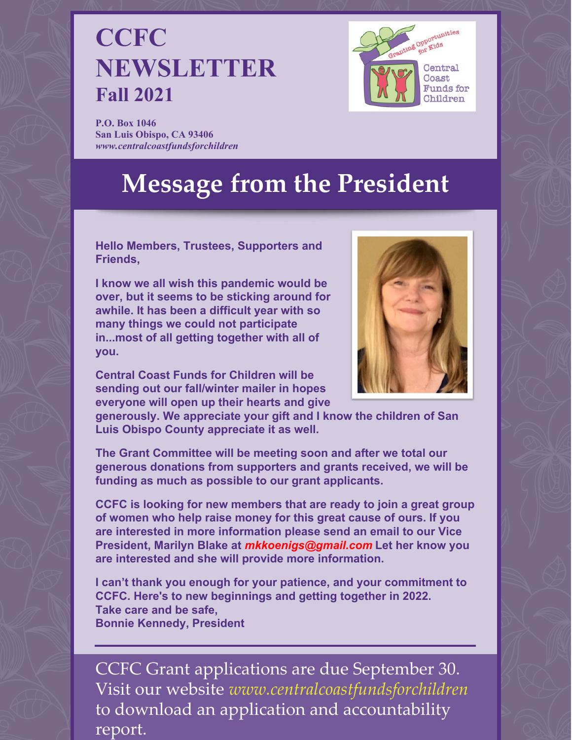## **CCFC NEWSLETTER Fall 2021**



**P.O. Box 1046 San Luis Obispo, CA 93406** *[www.centralcoastfundsforchildren](http://www.centralcoastfundsforchildren)*

# **Message from the President**

**Hello Members, Trustees, Supporters and Friends,**

**I know we all wish this pandemic would be over, but it seems to be sticking around for awhile. It has been a difficult year with so many things we could not participate in...most of all getting together with all of you.**



**Central Coast Funds for Children will be sending out our fall/winter mailer in hopes everyone will open up their hearts and give**

**generously. We appreciate your gift and I know the children of San Luis Obispo County appreciate it as well.**

**The Grant Committee will be meeting soon and after we total our generous donations from supporters and grants received, we will be funding as much as possible to our grant applicants.**

**CCFC is looking for new members that are ready to join a great group of women who help raise money for this great cause of ours. If you are interested in more information please send an email to our Vice President, Marilyn Blake at** *mkkoenigs@gmail.com* **Let her know you are interested and she will provide more information.**

**I can't thank you enough for your patience, and your commitment to CCFC. Here's to new beginnings and getting together in 2022. Take care and be safe, Bonnie Kennedy, President**

CCFC Grant applications are due September 30. Visit our website *[www.centralcoastfundsforchildren](http://www.centralcoastfundsforchildren)* to download an application and accountability report.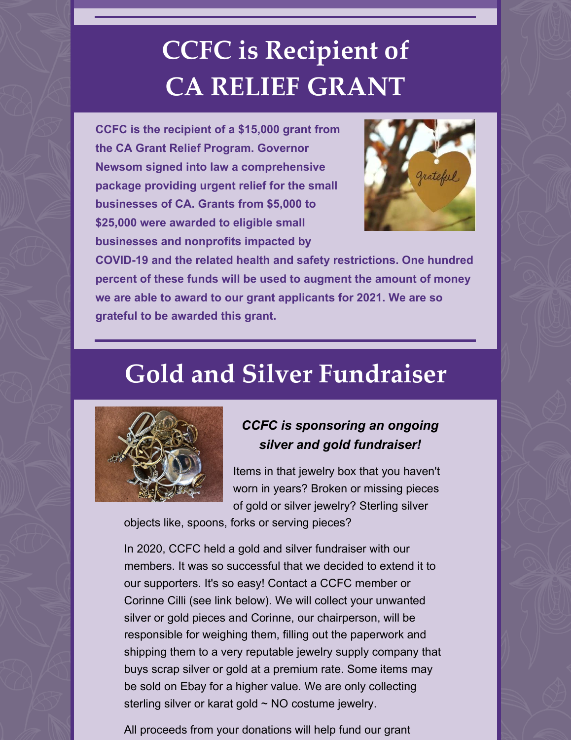# **CCFC is Recipient of CA RELIEF GRANT**

**CCFC is the recipient of a \$15,000 grant from the CA Grant Relief Program. Governor Newsom signed into law a comprehensive package providing urgent relief for the small businesses of CA. Grants from \$5,000 to \$25,000 were awarded to eligible small businesses and nonprofits impacted by**



**COVID-19 and the related health and safety restrictions. One hundred percent of these funds will be used to augment the amount of money we are able to award to our grant applicants for 2021. We are so grateful to be awarded this grant.**

### **Gold and Silver Fundraiser**



### *CCFC is sponsoring an ongoing silver and gold fundraiser!*

Items in that jewelry box that you haven't worn in years? Broken or missing pieces of gold or silver jewelry? Sterling silver

objects like, spoons, forks or serving pieces?

In 2020, CCFC held a gold and silver fundraiser with our members. It was so successful that we decided to extend it to our supporters. It's so easy! Contact a CCFC member or Corinne Cilli (see link below). We will collect your unwanted silver or gold pieces and Corinne, our chairperson, will be responsible for weighing them, filling out the paperwork and shipping them to a very reputable jewelry supply company that buys scrap silver or gold at a premium rate. Some items may be sold on Ebay for a higher value. We are only collecting sterling silver or karat gold  $\sim$  NO costume jewelry.

All proceeds from your donations will help fund our grant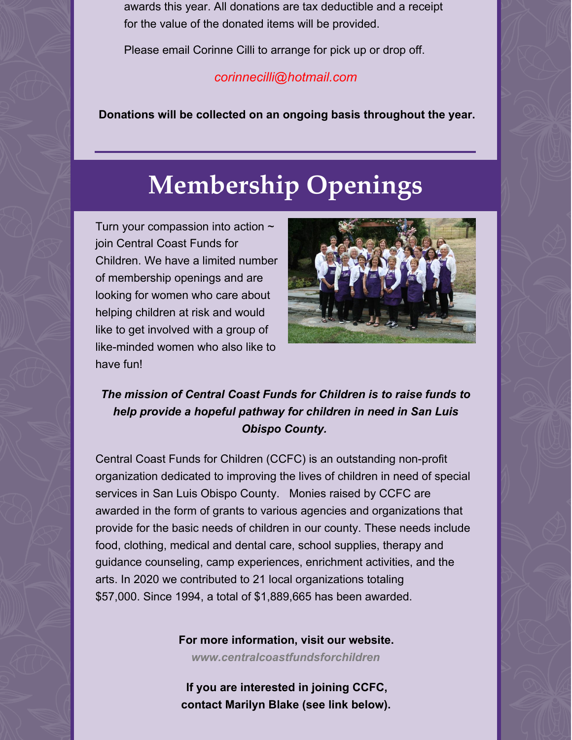awards this year. All donations are tax deductible and a receipt for the value of the donated items will be provided.

Please email Corinne Cilli to arrange for pick up or drop off.

#### *[corinnecilli@hotmail.com](mailto:corinnecilli@hotmail.com)*

**Donations will be collected on an ongoing basis throughout the year.**

## **Membership Openings**

Turn your compassion into action  $\sim$ join Central Coast Funds for Children. We have a limited number of membership openings and are looking for women who care about helping children at risk and would like to get involved with a group of like-minded women who also like to have fun!



### *The mission of Central Coast Funds for Children is to raise funds to help provide a hopeful pathway for children in need in San Luis Obispo County.*

Central Coast Funds for Children (CCFC) is an outstanding non-profit organization dedicated to improving the lives of children in need of special services in San Luis Obispo County. Monies raised by CCFC are awarded in the form of grants to various agencies and organizations that provide for the basic needs of children in our county. These needs include food, clothing, medical and dental care, school supplies, therapy and guidance counseling, camp experiences, enrichment activities, and the arts. In 2020 we contributed to 21 local organizations totaling \$57,000. Since 1994, a total of \$1,889,665 has been awarded.

**For more information, visit our website.**

*[www.centralcoastfundsforchildren](http://www.centralcoastfundsforchildren/)*

**If you are interested in joining CCFC, contact Marilyn Blake (see link below).**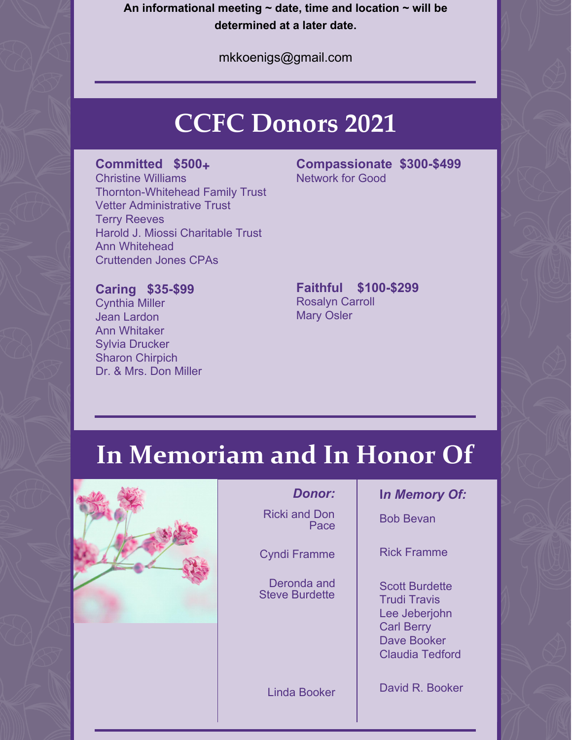**An informational meeting ~ date, time and location ~ will be determined at a later date.**

[mkkoenigs@gmail.com](mailto:mkkoenigs@gmail.com)

## **CCFC Donors 2021**

#### **Committed \$500+**

Christine Williams Thornton-Whitehead Family Trust Vetter Administrative Trust Terry Reeves Harold J. Miossi Charitable Trust Ann Whitehead Cruttenden Jones CPAs

**Compassionate \$300-\$499** Network for Good

#### **Caring \$35-\$99**

Cynthia Miller Jean Lardon Ann Whitaker Sylvia Drucker Sharon Chirpich Dr. & Mrs. Don Miller

#### **Faithful \$100-\$299** Rosalyn Carroll Mary Osler

# **In Memoriam and In Honor Of**



#### *Donor:*

Ricki and Don Pace

Cyndi Framme

Deronda and Steve Burdette

Linda Booker

#### **I***n Memory Of:*

Bob Bevan

Rick Framme

Scott Burdette Trudi Travis Lee Jeberjohn Carl Berry Dave Booker Claudia Tedford

David R. Booker